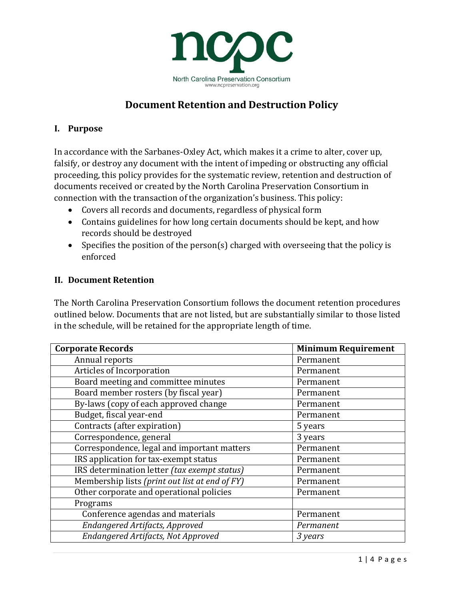

# **Document Retention and Destruction Policy**

## **I. Purpose**

In accordance with the Sarbanes-Oxley Act, which makes it a crime to alter, cover up, falsify, or destroy any document with the intent of impeding or obstructing any official proceeding, this policy provides for the systematic review, retention and destruction of documents received or created by the North Carolina Preservation Consortium in connection with the transaction of the organization's business. This policy:

- Covers all records and documents, regardless of physical form
- Contains guidelines for how long certain documents should be kept, and how records should be destroyed
- Specifies the position of the person(s) charged with overseeing that the policy is enforced

## **II. Document Retention**

The North Carolina Preservation Consortium follows the document retention procedures outlined below. Documents that are not listed, but are substantially similar to those listed in the schedule, will be retained for the appropriate length of time.

| <b>Corporate Records</b>                       | <b>Minimum Requirement</b> |
|------------------------------------------------|----------------------------|
| Annual reports                                 | Permanent                  |
| Articles of Incorporation                      | Permanent                  |
| Board meeting and committee minutes            | Permanent                  |
| Board member rosters (by fiscal year)          | Permanent                  |
| By-laws (copy of each approved change          | Permanent                  |
| Budget, fiscal year-end                        | Permanent                  |
| Contracts (after expiration)                   | 5 years                    |
| Correspondence, general                        | 3 years                    |
| Correspondence, legal and important matters    | Permanent                  |
| IRS application for tax-exempt status          | Permanent                  |
| IRS determination letter (tax exempt status)   | Permanent                  |
| Membership lists (print out list at end of FY) | Permanent                  |
| Other corporate and operational policies       | Permanent                  |
| Programs                                       |                            |
| Conference agendas and materials               | Permanent                  |
| Endangered Artifacts, Approved                 | Permanent                  |
| Endangered Artifacts, Not Approved             | 3 years                    |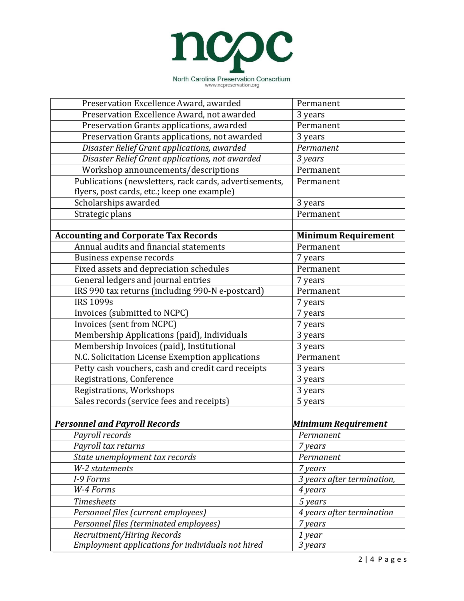

| Preservation Excellence Award, awarded                 | Permanent                  |  |
|--------------------------------------------------------|----------------------------|--|
| Preservation Excellence Award, not awarded             | 3 years                    |  |
| Preservation Grants applications, awarded              | Permanent                  |  |
| Preservation Grants applications, not awarded          | 3 years                    |  |
| Disaster Relief Grant applications, awarded            | Permanent                  |  |
| Disaster Relief Grant applications, not awarded        | 3 years                    |  |
| Workshop announcements/descriptions                    | Permanent                  |  |
| Publications (newsletters, rack cards, advertisements, | Permanent                  |  |
| flyers, post cards, etc.; keep one example)            |                            |  |
| Scholarships awarded                                   | 3 years                    |  |
| Strategic plans                                        | Permanent                  |  |
|                                                        |                            |  |
| <b>Accounting and Corporate Tax Records</b>            | <b>Minimum Requirement</b> |  |
| Annual audits and financial statements                 | Permanent                  |  |
| Business expense records                               | 7 years                    |  |
| Fixed assets and depreciation schedules                | Permanent                  |  |
| General ledgers and journal entries                    | 7 years                    |  |
| IRS 990 tax returns (including 990-N e-postcard)       | Permanent                  |  |
| <b>IRS 1099s</b>                                       | 7 years                    |  |
| Invoices (submitted to NCPC)                           | 7 years                    |  |
| <b>Invoices (sent from NCPC)</b>                       | 7 years                    |  |
| Membership Applications (paid), Individuals            | 3 years                    |  |
| Membership Invoices (paid), Institutional              | 3 years                    |  |
| N.C. Solicitation License Exemption applications       | Permanent                  |  |
| Petty cash vouchers, cash and credit card receipts     | 3 years                    |  |
| Registrations, Conference                              | 3 years                    |  |
| Registrations, Workshops                               | 3 years                    |  |
| Sales records (service fees and receipts)              | 5 years                    |  |
|                                                        |                            |  |
| <b>Personnel and Payroll Records</b>                   | Minimum Requirement        |  |
| Payroll records                                        | Permanent                  |  |
| Payroll tax returns                                    | 7 years                    |  |
| State unemployment tax records                         | Permanent                  |  |
| W-2 statements                                         | 7 years                    |  |
| I-9 Forms                                              | 3 years after termination, |  |
| W-4 Forms                                              | 4 years                    |  |
| <b>Timesheets</b>                                      | 5 years                    |  |
| Personnel files (current employees)                    | 4 years after termination  |  |
| Personnel files (terminated employees)                 | 7 years                    |  |
| Recruitment/Hiring Records                             | 1 year                     |  |
| Employment applications for individuals not hired      | 3 years                    |  |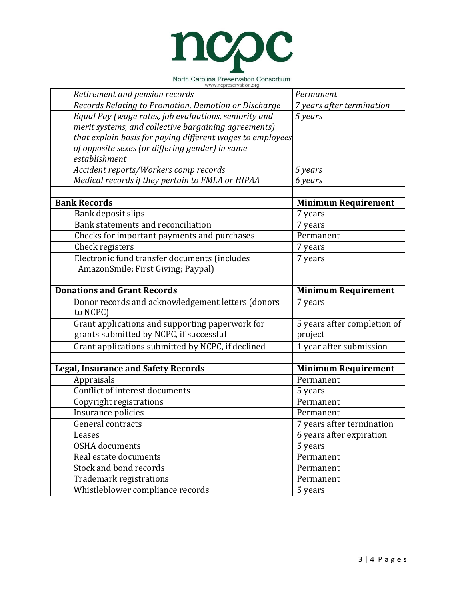

|  |                        | North Carolina Preservation Consortium |  |
|--|------------------------|----------------------------------------|--|
|  | www.ncpreservation.org |                                        |  |

| Retirement and pension records                                    | Permanent                   |
|-------------------------------------------------------------------|-----------------------------|
| Records Relating to Promotion, Demotion or Discharge              | 7 years after termination   |
| Equal Pay (wage rates, job evaluations, seniority and             | 5 years                     |
| merit systems, and collective bargaining agreements)              |                             |
| that explain basis for paying different wages to employees $\mid$ |                             |
| of opposite sexes (or differing gender) in same                   |                             |
| establishment                                                     |                             |
| Accident reports/Workers comp records                             | 5 years                     |
| Medical records if they pertain to FMLA or HIPAA                  | 6 years                     |
|                                                                   |                             |
| <b>Bank Records</b>                                               | <b>Minimum Requirement</b>  |
| Bank deposit slips                                                | 7 years                     |
| Bank statements and reconciliation                                | 7 years                     |
| Checks for important payments and purchases                       | Permanent                   |
| Check registers                                                   | 7 years                     |
| Electronic fund transfer documents (includes                      | 7 years                     |
| AmazonSmile; First Giving; Paypal)                                |                             |
|                                                                   |                             |
| <b>Donations and Grant Records</b>                                | <b>Minimum Requirement</b>  |
| Donor records and acknowledgement letters (donors                 | 7 years                     |
| to NCPC)                                                          |                             |
| Grant applications and supporting paperwork for                   | 5 years after completion of |
| grants submitted by NCPC, if successful                           | project                     |
| Grant applications submitted by NCPC, if declined                 | 1 year after submission     |
|                                                                   |                             |
| <b>Legal, Insurance and Safety Records</b>                        | <b>Minimum Requirement</b>  |
| Appraisals                                                        | Permanent                   |
| Conflict of interest documents                                    | 5 years                     |
| Copyright registrations                                           | Permanent                   |
| Insurance policies                                                | Permanent                   |
| General contracts                                                 | 7 years after termination   |
| Leases                                                            | 6 years after expiration    |
| <b>OSHA</b> documents                                             | 5 years                     |
| Real estate documents                                             | Permanent                   |
| Stock and bond records                                            | Permanent                   |
| Trademark registrations                                           | Permanent                   |
| Whistleblower compliance records                                  |                             |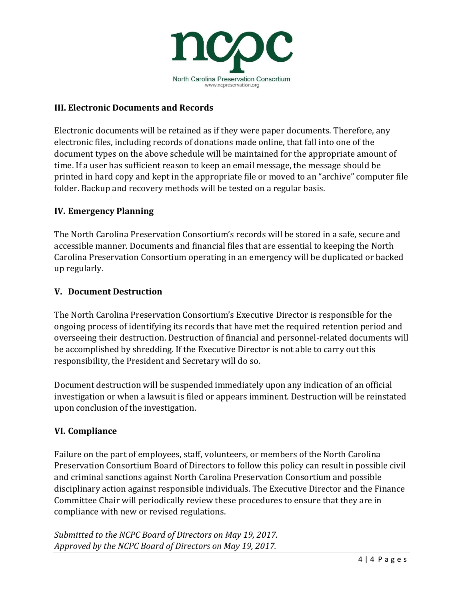

## **III. Electronic Documents and Records**

Electronic documents will be retained as if they were paper documents. Therefore, any electronic files, including records of donations made online, that fall into one of the document types on the above schedule will be maintained for the appropriate amount of time. If a user has sufficient reason to keep an email message, the message should be printed in hard copy and kept in the appropriate file or moved to an "archive" computer file folder. Backup and recovery methods will be tested on a regular basis.

### **IV. Emergency Planning**

The North Carolina Preservation Consortium's records will be stored in a safe, secure and accessible manner. Documents and financial files that are essential to keeping the North Carolina Preservation Consortium operating in an emergency will be duplicated or backed up regularly.

### **V. Document Destruction**

The North Carolina Preservation Consortium's Executive Director is responsible for the ongoing process of identifying its records that have met the required retention period and overseeing their destruction. Destruction of financial and personnel-related documents will be accomplished by shredding. If the Executive Director is not able to carry out this responsibility, the President and Secretary will do so.

Document destruction will be suspended immediately upon any indication of an official investigation or when a lawsuit is filed or appears imminent. Destruction will be reinstated upon conclusion of the investigation.

### **VI. Compliance**

Failure on the part of employees, staff, volunteers, or members of the North Carolina Preservation Consortium Board of Directors to follow this policy can result in possible civil and criminal sanctions against North Carolina Preservation Consortium and possible disciplinary action against responsible individuals. The Executive Director and the Finance Committee Chair will periodically review these procedures to ensure that they are in compliance with new or revised regulations.

*Submitted to the NCPC Board of Directors on May 19, 2017. Approved by the NCPC Board of Directors on May 19, 2017.*